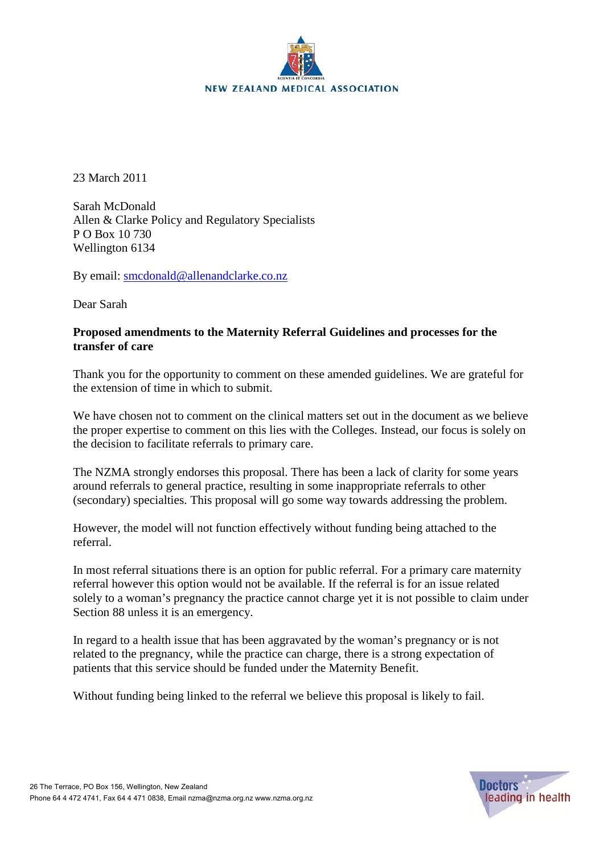

23 March 2011

Sarah McDonald Allen & Clarke Policy and Regulatory Specialists P O Box 10 730 Wellington 6134

By email: [smcdonald@allenandclarke.co.nz](mailto:smcdonald@allenandclarke.co.nz)

Dear Sarah

## **Proposed amendments to the Maternity Referral Guidelines and processes for the transfer of care**

Thank you for the opportunity to comment on these amended guidelines. We are grateful for the extension of time in which to submit.

We have chosen not to comment on the clinical matters set out in the document as we believe the proper expertise to comment on this lies with the Colleges. Instead, our focus is solely on the decision to facilitate referrals to primary care.

The NZMA strongly endorses this proposal. There has been a lack of clarity for some years around referrals to general practice, resulting in some inappropriate referrals to other (secondary) specialties. This proposal will go some way towards addressing the problem.

However, the model will not function effectively without funding being attached to the referral.

In most referral situations there is an option for public referral. For a primary care maternity referral however this option would not be available. If the referral is for an issue related solely to a woman's pregnancy the practice cannot charge yet it is not possible to claim under Section 88 unless it is an emergency.

In regard to a health issue that has been aggravated by the woman's pregnancy or is not related to the pregnancy, while the practice can charge, there is a strong expectation of patients that this service should be funded under the Maternity Benefit.

Without funding being linked to the referral we believe this proposal is likely to fail.